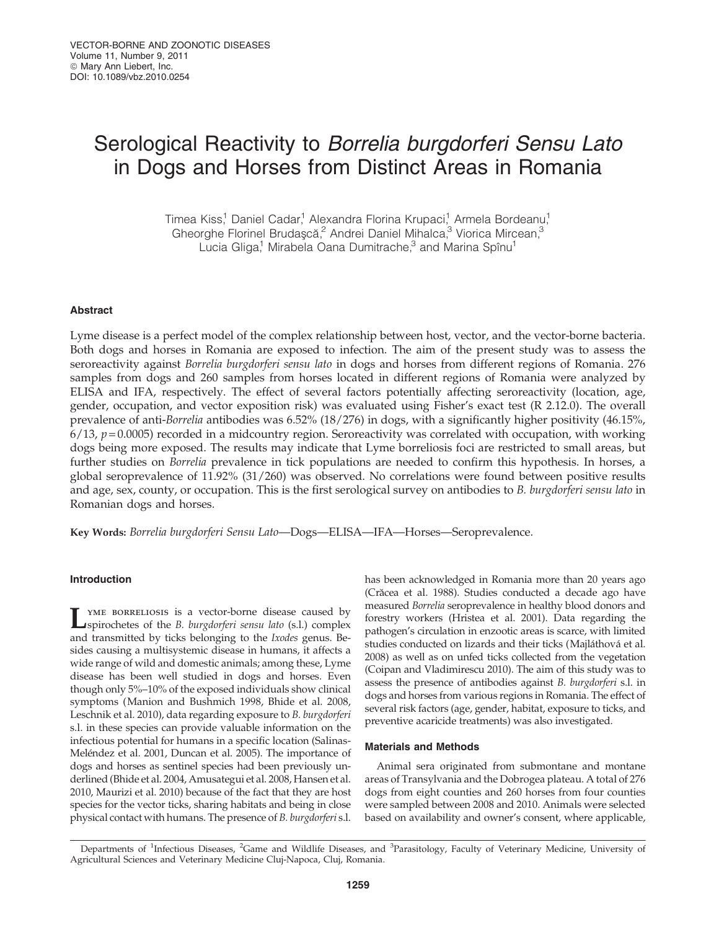# Serological Reactivity to Borrelia burgdorferi Sensu Lato in Dogs and Horses from Distinct Areas in Romania

Timea Kiss,<sup>1</sup> Daniel Cadar,<sup>1</sup> Alexandra Florina Krupaci,<sup>1</sup> Armela Bordeanu,<sup>1</sup> Gheorghe Florinel Brudaşcă,<sup>2</sup> Andrei Daniel Mihalca,<sup>3</sup> Viorica Mircean,<sup>3</sup> Lucia Gliga,<sup>1</sup> Mirabela Oana Dumitrache,<sup>3</sup> and Marina Spînu<sup>1</sup>

## Abstract

Lyme disease is a perfect model of the complex relationship between host, vector, and the vector-borne bacteria. Both dogs and horses in Romania are exposed to infection. The aim of the present study was to assess the seroreactivity against Borrelia burgdorferi sensu lato in dogs and horses from different regions of Romania. 276 samples from dogs and 260 samples from horses located in different regions of Romania were analyzed by ELISA and IFA, respectively. The effect of several factors potentially affecting seroreactivity (location, age, gender, occupation, and vector exposition risk) was evaluated using Fisher's exact test (R 2.12.0). The overall prevalence of anti-Borrelia antibodies was 6.52% (18/276) in dogs, with a significantly higher positivity (46.15%,  $6/13$ ,  $p = 0.0005$ ) recorded in a midcountry region. Seroreactivity was correlated with occupation, with working dogs being more exposed. The results may indicate that Lyme borreliosis foci are restricted to small areas, but further studies on Borrelia prevalence in tick populations are needed to confirm this hypothesis. In horses, a global seroprevalence of 11.92% (31/260) was observed. No correlations were found between positive results and age, sex, county, or occupation. This is the first serological survey on antibodies to B. burgdorferi sensu lato in Romanian dogs and horses.

Key Words: Borrelia burgdorferi Sensu Lato—Dogs—ELISA—IFA—Horses—Seroprevalence.

## Introduction

LYME BORRELIOSIS is a vector-borne disease caused by<br>spirochetes of the *B. burgdorferi sensu lato* (s.l.) complex and transmitted by ticks belonging to the Ixodes genus. Besides causing a multisystemic disease in humans, it affects a wide range of wild and domestic animals; among these, Lyme disease has been well studied in dogs and horses. Even though only 5%–10% of the exposed individuals show clinical symptoms (Manion and Bushmich 1998, Bhide et al. 2008, Leschnik et al. 2010), data regarding exposure to B. burgdorferi s.l. in these species can provide valuable information on the infectious potential for humans in a specific location (Salinas-Meléndez et al. 2001, Duncan et al. 2005). The importance of dogs and horses as sentinel species had been previously underlined (Bhide et al. 2004, Amusategui et al. 2008, Hansen et al. 2010, Maurizi et al. 2010) because of the fact that they are host species for the vector ticks, sharing habitats and being in close physical contact with humans. The presence of B. burgdorferi s.l.

has been acknowledged in Romania more than 20 years ago (Crăcea et al. 1988). Studies conducted a decade ago have measured Borrelia seroprevalence in healthy blood donors and forestry workers (Hristea et al. 2001). Data regarding the pathogen's circulation in enzootic areas is scarce, with limited studies conducted on lizards and their ticks (Majláthová et al. 2008) as well as on unfed ticks collected from the vegetation (Coipan and Vladimirescu 2010). The aim of this study was to assess the presence of antibodies against B. burgdorferi s.l. in dogs and horses from various regions in Romania. The effect of several risk factors (age, gender, habitat, exposure to ticks, and preventive acaricide treatments) was also investigated.

## Materials and Methods

Animal sera originated from submontane and montane areas of Transylvania and the Dobrogea plateau. A total of 276 dogs from eight counties and 260 horses from four counties were sampled between 2008 and 2010. Animals were selected based on availability and owner's consent, where applicable,

Departments of <sup>1</sup>Infectious Diseases, <sup>2</sup>Game and Wildlife Diseases, and <sup>3</sup>Parasitology, Faculty of Veterinary Medicine, University of Agricultural Sciences and Veterinary Medicine Cluj-Napoca, Cluj, Romania.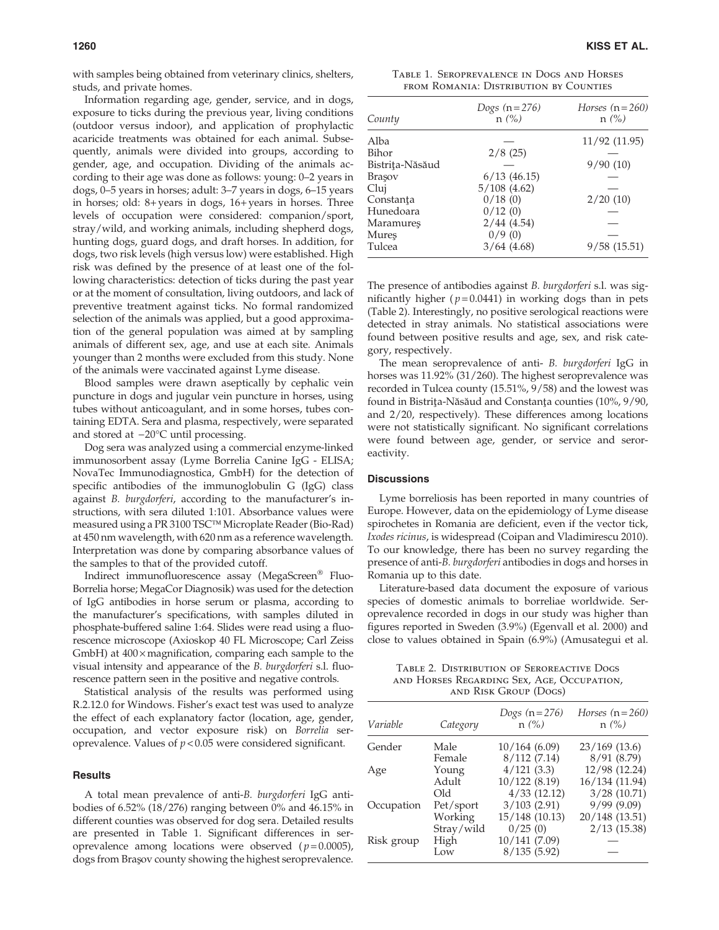with samples being obtained from veterinary clinics, shelters, studs, and private homes.

Information regarding age, gender, service, and in dogs, exposure to ticks during the previous year, living conditions (outdoor versus indoor), and application of prophylactic acaricide treatments was obtained for each animal. Subsequently, animals were divided into groups, according to gender, age, and occupation. Dividing of the animals according to their age was done as follows: young: 0–2 years in dogs, 0–5 years in horses; adult: 3–7 years in dogs, 6–15 years in horses; old: 8+ years in dogs, 16+ years in horses. Three levels of occupation were considered: companion/sport, stray/wild, and working animals, including shepherd dogs, hunting dogs, guard dogs, and draft horses. In addition, for dogs, two risk levels (high versus low) were established. High risk was defined by the presence of at least one of the following characteristics: detection of ticks during the past year or at the moment of consultation, living outdoors, and lack of preventive treatment against ticks. No formal randomized selection of the animals was applied, but a good approximation of the general population was aimed at by sampling animals of different sex, age, and use at each site. Animals younger than 2 months were excluded from this study. None of the animals were vaccinated against Lyme disease.

Blood samples were drawn aseptically by cephalic vein puncture in dogs and jugular vein puncture in horses, using tubes without anticoagulant, and in some horses, tubes containing EDTA. Sera and plasma, respectively, were separated and stored at  $-20^{\circ}$ C until processing.

Dog sera was analyzed using a commercial enzyme-linked immunosorbent assay (Lyme Borrelia Canine IgG - ELISA; NovaTec Immunodiagnostica, GmbH) for the detection of specific antibodies of the immunoglobulin G (IgG) class against B. burgdorferi, according to the manufacturer's instructions, with sera diluted 1:101. Absorbance values were measured using a PR 3100 TSC™ Microplate Reader (Bio-Rad) at 450 nm wavelength, with 620 nm as a reference wavelength. Interpretation was done by comparing absorbance values of the samples to that of the provided cutoff.

Indirect immunofluorescence assay (MegaScreen<sup>®</sup> Fluo-Borrelia horse; MegaCor Diagnosik) was used for the detection of IgG antibodies in horse serum or plasma, according to the manufacturer's specifications, with samples diluted in phosphate-buffered saline 1:64. Slides were read using a fluorescence microscope (Axioskop 40 FL Microscope; Carl Zeiss GmbH) at  $400 \times$  magnification, comparing each sample to the visual intensity and appearance of the B. burgdorferi s.l. fluorescence pattern seen in the positive and negative controls.

Statistical analysis of the results was performed using R.2.12.0 for Windows. Fisher's exact test was used to analyze the effect of each explanatory factor (location, age, gender, occupation, and vector exposure risk) on Borrelia seroprevalence. Values of  $p < 0.05$  were considered significant.

## **Results**

A total mean prevalence of anti-B. burgdorferi IgG antibodies of 6.52% (18/276) ranging between 0% and 46.15% in different counties was observed for dog sera. Detailed results are presented in Table 1. Significant differences in seroprevalence among locations were observed  $(p=0.0005)$ , dogs from Braşov county showing the highest seroprevalence.

Table 1. Seroprevalence in Dogs and Horses from Romania: Distribution by Counties

| County          | Dogs $(n=276)$<br>$n$ (%) | Horses $(n=260)$<br>$n$ (%) |
|-----------------|---------------------------|-----------------------------|
| Alba            |                           | 11/92 (11.95)               |
| Bihor           | 2/8(25)                   |                             |
| Bistriţa-Năsăud |                           | 9/90(10)                    |
| Brașov          | $6/13$ (46.15)            |                             |
| Cluj            | 5/108(4.62)               |                             |
| Constanța       | 0/18(0)                   | 2/20(10)                    |
| Hunedoara       | 0/12(0)                   |                             |
| Maramureş       | 2/44(4.54)                |                             |
| Mureş           | 0/9(0)                    |                             |
| Tulcea          | 3/64(4.68)                | 9/58(15.51)                 |

The presence of antibodies against *B. burgdorferi* s.l. was significantly higher ( $p = 0.0441$ ) in working dogs than in pets (Table 2). Interestingly, no positive serological reactions were detected in stray animals. No statistical associations were found between positive results and age, sex, and risk category, respectively.

The mean seroprevalence of anti- B. burgdorferi IgG in horses was 11.92% (31/260). The highest seroprevalence was recorded in Tulcea county (15.51%, 9/58) and the lowest was found in Bistrița-Năsăud and Constanța counties (10%, 9/90, and 2/20, respectively). These differences among locations were not statistically significant. No significant correlations were found between age, gender, or service and seroreactivity.

### **Discussions**

Lyme borreliosis has been reported in many countries of Europe. However, data on the epidemiology of Lyme disease spirochetes in Romania are deficient, even if the vector tick, Ixodes ricinus, is widespread (Coipan and Vladimirescu 2010). To our knowledge, there has been no survey regarding the presence of anti-B. burgdorferi antibodies in dogs and horses in Romania up to this date.

Literature-based data document the exposure of various species of domestic animals to borreliae worldwide. Seroprevalence recorded in dogs in our study was higher than figures reported in Sweden (3.9%) (Egenvall et al. 2000) and close to values obtained in Spain (6.9%) (Amusategui et al.

Table 2. Distribution of Seroreactive Dogs and Horses Regarding Sex, Age, Occupation, and Risk Group (Dogs)

| Variable   | Category             | <i>Dogs</i> $(n=276)$<br>$n$ (%) | Horses $(n=260)$<br>$n(\%)$   |
|------------|----------------------|----------------------------------|-------------------------------|
| Gender     | Male<br>Female       | 10/164(6.09)<br>8/112(7.14)      | $23/169$ (13.6)<br>8/91(8.79) |
| Age        | Young                | 4/121(3.3)                       | 12/98 (12.24)                 |
|            | Adult<br>Old         | 10/122(8.19)<br>4/33(12.12)      | 16/134 (11.94)<br>3/28(10.71) |
| Occupation | Pet/sport<br>Working | 3/103(2.91)<br>15/148 (10.13)    | 9/99(9.09)<br>20/148 (13.51)  |
|            | Stray/wild           | 0/25(0)                          | $2/13$ (15.38)                |
| Risk group | High<br>Low          | 10/141 (7.09)<br>8/135(5.92)     |                               |
|            |                      |                                  |                               |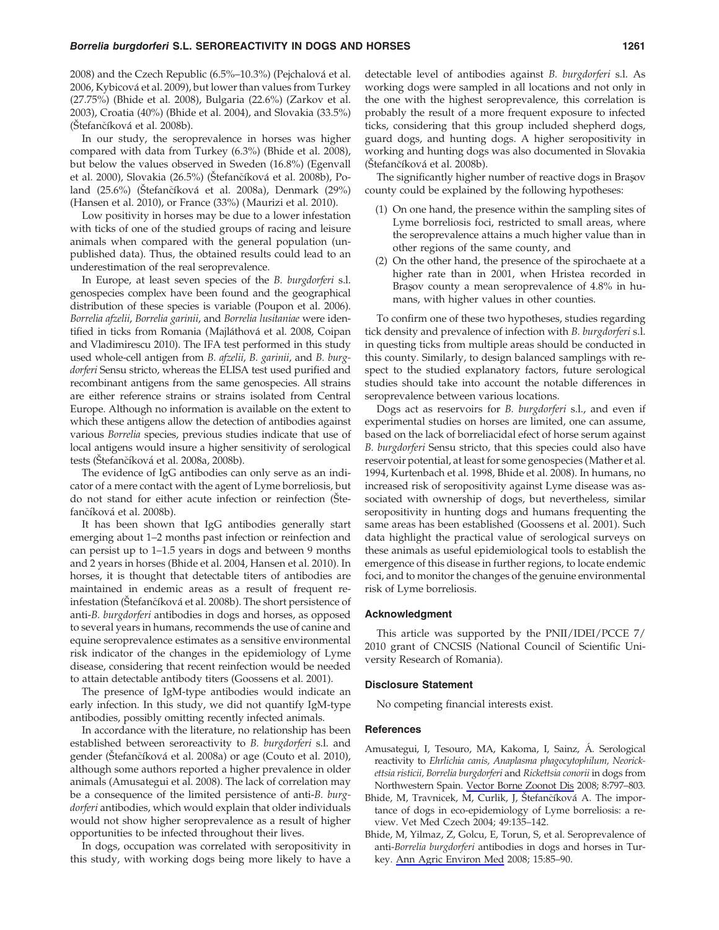2008) and the Czech Republic (6.5%–10.3%) (Pejchalová et al. 2006, Kybicová et al. 2009), but lower than values from Turkey (27.75%) (Bhide et al. 2008), Bulgaria (22.6%) (Zarkov et al. 2003), Croatia (40%) (Bhide et al. 2004), and Slovakia (33.5%) (Štefančíková et al. 2008b).

In our study, the seroprevalence in horses was higher compared with data from Turkey (6.3%) (Bhide et al. 2008), but below the values observed in Sweden (16.8%) (Egenvall et al. 2000), Slovakia (26.5%) (Štefančíková et al. 2008b), Poland (25.6%) (Štefančíková et al. 2008a), Denmark (29%) (Hansen et al. 2010), or France (33%) (Maurizi et al. 2010).

Low positivity in horses may be due to a lower infestation with ticks of one of the studied groups of racing and leisure animals when compared with the general population (unpublished data). Thus, the obtained results could lead to an underestimation of the real seroprevalence.

In Europe, at least seven species of the *B. burgdorferi* s.l. genospecies complex have been found and the geographical distribution of these species is variable (Poupon et al. 2006). Borrelia afzelii, Borrelia garinii, and Borrelia lusitaniae were identified in ticks from Romania (Majláthová et al. 2008, Coipan and Vladimirescu 2010). The IFA test performed in this study used whole-cell antigen from B. afzelii, B. garinii, and B. burgdorferi Sensu stricto, whereas the ELISA test used purified and recombinant antigens from the same genospecies. All strains are either reference strains or strains isolated from Central Europe. Although no information is available on the extent to which these antigens allow the detection of antibodies against various Borrelia species, previous studies indicate that use of local antigens would insure a higher sensitivity of serological tests (Štefančíková et al. 2008a, 2008b).

The evidence of IgG antibodies can only serve as an indicator of a mere contact with the agent of Lyme borreliosis, but do not stand for either acute infection or reinfection (Štefančíková et al. 2008b).

It has been shown that IgG antibodies generally start emerging about 1–2 months past infection or reinfection and can persist up to 1–1.5 years in dogs and between 9 months and 2 years in horses (Bhide et al. 2004, Hansen et al. 2010). In horses, it is thought that detectable titers of antibodies are maintained in endemic areas as a result of frequent reinfestation (Štefančíková et al. 2008b). The short persistence of anti-B. burgdorferi antibodies in dogs and horses, as opposed to several years in humans, recommends the use of canine and equine seroprevalence estimates as a sensitive environmental risk indicator of the changes in the epidemiology of Lyme disease, considering that recent reinfection would be needed to attain detectable antibody titers (Goossens et al. 2001).

The presence of IgM-type antibodies would indicate an early infection. In this study, we did not quantify IgM-type antibodies, possibly omitting recently infected animals.

In accordance with the literature, no relationship has been established between seroreactivity to B. burgdorferi s.l. and gender (Štefančíková et al. 2008a) or age (Couto et al. 2010), although some authors reported a higher prevalence in older animals (Amusategui et al. 2008). The lack of correlation may be a consequence of the limited persistence of anti-B. burgdorferi antibodies, which would explain that older individuals would not show higher seroprevalence as a result of higher opportunities to be infected throughout their lives.

In dogs, occupation was correlated with seropositivity in this study, with working dogs being more likely to have a

detectable level of antibodies against B. burgdorferi s.l. As working dogs were sampled in all locations and not only in the one with the highest seroprevalence, this correlation is probably the result of a more frequent exposure to infected ticks, considering that this group included shepherd dogs, guard dogs, and hunting dogs. A higher seropositivity in working and hunting dogs was also documented in Slovakia (Štefančíková et al. 2008b).

The significantly higher number of reactive dogs in Braşov county could be explained by the following hypotheses:

- (1) On one hand, the presence within the sampling sites of Lyme borreliosis foci, restricted to small areas, where the seroprevalence attains a much higher value than in other regions of the same county, and
- (2) On the other hand, the presence of the spirochaete at a higher rate than in 2001, when Hristea recorded in Brasov county a mean seroprevalence of 4.8% in humans, with higher values in other counties.

To confirm one of these two hypotheses, studies regarding tick density and prevalence of infection with *B. burgdorferi* s.l. in questing ticks from multiple areas should be conducted in this county. Similarly, to design balanced samplings with respect to the studied explanatory factors, future serological studies should take into account the notable differences in seroprevalence between various locations.

Dogs act as reservoirs for B. burgdorferi s.l., and even if experimental studies on horses are limited, one can assume, based on the lack of borreliacidal efect of horse serum against B. burgdorferi Sensu stricto, that this species could also have reservoir potential, at least for some genospecies (Mather et al. 1994, Kurtenbach et al. 1998, Bhide et al. 2008). In humans, no increased risk of seropositivity against Lyme disease was associated with ownership of dogs, but nevertheless, similar seropositivity in hunting dogs and humans frequenting the same areas has been established (Goossens et al. 2001). Such data highlight the practical value of serological surveys on these animals as useful epidemiological tools to establish the emergence of this disease in further regions, to locate endemic foci, and to monitor the changes of the genuine environmental risk of Lyme borreliosis.

#### Acknowledgment

This article was supported by the PNII/IDEI/PCCE 7/ 2010 grant of CNCSIS (National Council of Scientific University Research of Romania).

### Disclosure Statement

No competing financial interests exist.

#### References

- Amusategui, I, Tesouro, MA, Kakoma, I, Sainz, A. Serological reactivity to Ehrlichia canis, Anaplasma phagocytophilum, Neorickettsia risticii, Borrelia burgdorferi and Rickettsia conorii in dogs from Northwestern Spain. Vector Borne Zoonot Dis 2008; 8:797–803.
- Bhide, M, Travnicek, M, Curlik, J, Štefančíková A. The importance of dogs in eco-epidemiology of Lyme borreliosis: a review. Vet Med Czech 2004; 49:135–142.
- Bhide, M, Yilmaz, Z, Golcu, E, Torun, S, et al. Seroprevalence of anti-Borrelia burgdorferi antibodies in dogs and horses in Turkey. Ann Agric Environ Med 2008; 15:85–90.